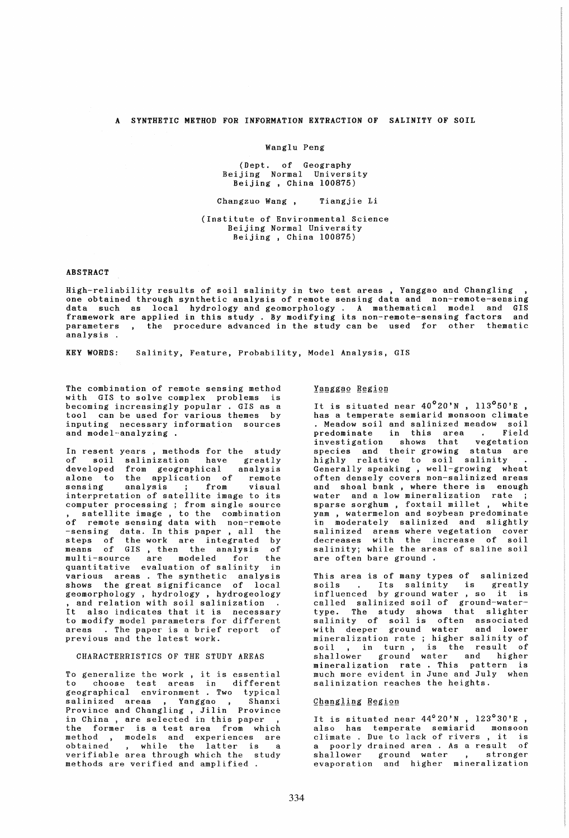## A SYNTHETIC METHOD FOR INFORMATION EXTRACTION OF SALINITY OF SOIL

#### Wanglu Peng

(Dept. of Geography Beijing Normal University Beijing , China 100875)

#### Changzuo Wang , Tiangjie 1i

## (Institute of Environmental Science Beijing Normal University Beijing, China 100875)

#### ABSTRACT

High-reliability results of soil salinity in two test areas, Yanggao and Changling , one obtained through synthetic analysis of remote sensing data and non-remote-sensing data such as local hydrology and geomorphology. A mathematical model and GIS framework are applied in this study . By modifying its non-remote-sensing factors and parameters, the procedure advanced in the study can be used for other thematic analysis .

KEY WORDS: Salinity, Feature, Probability, Model Analysis, GIS

The combination of remote sensing method with GIS to solve complex problems is becoming increasingly popular . GIS as a tool can be used for various themes by inputing necessary information sources and model-analyzing .

In resent years , methods for the study of soil salinization have greatly<br>developed from geographical analysis from geographical alone to the application of remote sensing analysis ; from visual sensing analysis ; from visual<br>interpretation of satellite image to its computer processing ; from single source , satellite image , to the combination of remote sensing data with non-remote of remote sensing data with non-remote<br>-sensing data. In this paper , all the<br>steps of the work are integrated by means of GIS, then the analysis of multi-source are modeled for the quantitative evaluation of salinity in various areas. The synthetic analysis shows the great significance of local geomorphology , hydrology , hydrogeology , and relation with soil salinization It also indicates that it is necessary to modify model parameters for different areas. The paper is a brief report of previous and the latest work.

### CHARACTERRISTICS OF THE STUDY AREAS

To generalize the work, it is essential choose test areas in different geographical environment. Two typical salinized areas , Yanggao , Shanxi salinized areas , Yanggao , Shanxi<br>Province and Changling , Jilin Province in China , are selected in this paper , the former is a test area from which method , models and experiences are obtained , while the latter is a obtained , while the latter is a<br>verifiable area through which the study methods are verified and amplified.

## Yanggao Region

It is situated near  $40^{\circ}20'$ N,  $113^{\circ}50'$ E, has a temperate semiarid monsoon climate . Meadow soil and salinized meadow soil predominate in this area . Field investigation shows that vegetation investigation shows that vegetation<br>species and their-growing status are highly relative to soil salinity .<br>Generally speaking, well-growing wheat Generally speaking, well-growing often densely covers non-salinized areas and shoal bank , where there is enough water and a low mineralization rate ;<br>sparse sorghum, foxtail millet, white sparse sorghum, foxtail millet, yam , watermelon and soybean predominate in moderately salinized and slightly salinized areas where vegetation cover decreases with the increase of soil salinity; while the areas of saline soil are often bare ground .

This area is of many types of salinized soils . Its salinity is greatly<br>influenced by ground water, so it is called salinized soil of ground-watertype. The study shows that slighter salinity of soil is often associated with deeper ground water and lower mineralization rate ; higher salinity of minerarization rate, ingher saidinty of<br>soil, in turn, is the result of shallower ground water and higher mineralization rate. This pattern is much more evident in June and July when salinization reaches the heights.

## Changling Region

It is situated near  $44^{\circ}20'$ N,  $123^{\circ}30'$ E, also has temperate semiarid monsoon aiso has temperate semiarid mousoon<br>climate .Due to lack of rivers , it is a poorly drained area . As a result of shallower ground water , stronger evaporation and higher mineralization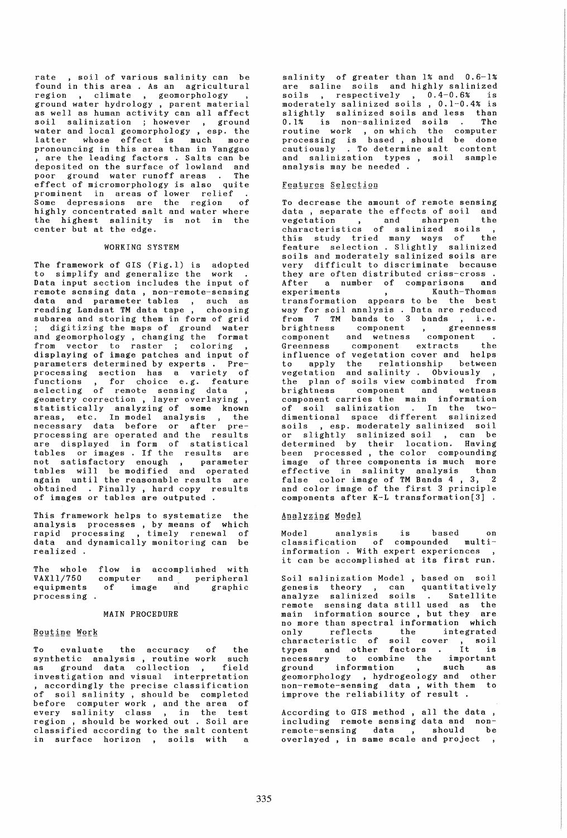rate, soil of various salinity can be rate ; soil of various saininty can be<br>found in this area. As an agricultural region , climate , geomorphology , ground water hydrology , parent material as well as human activity can all affect soil salinization ; however , ground water and local geomorphology, esp. the water and rocal geomorphorogy, esp. enc. pronouncing in this area than in Yanggao , are the leading factors . Salts can be deposited on the surface of lowland and poor ground water runoff areas. The effect of micromorphology is also quite prominent in areas of lower relief .<br>Some depressions are the region of<br>highly concentrated salt and water where the highest salinity is not in the center but at the edge.

#### WORKING SYSTEM

The framework of GIS (Fig.l) is adopted to simplify and generalize the work Data input section includes the input of remote sensing data , non-remote-sensing data and parameter tables , such as reading Landsat TM data tape, choosing subarea and storing them in form of grid ; digitizing the maps of ground water and geomorphology , changing the format from vector to raster ; coloring , displaying of image patches and input of parameters determined by experts. Preprocessing section has a variety of functions, for choice e.g. feature selecting of remote sensing data , econverty correction, layer overlaying,<br>statistically analyzing of some known areas, etc. In model analysis , the necessary data before or after preprocessing are operated and the results are displayed in form of statistical tables or images. If the results are not satisfactory enough, parameter tables will be modified and operated again until the reasonable results are obtained . Finally , hard copy results of images or tables are outputed .

This framework helps to systematize the analysis processes, by means of which anarysis processes , by means or which<br>rapid processing , timely renewal of data and dynamically monitoring can be realized .

The whole VAXll/750 equipments processing flow is accomplished with computer and peripheral of image and graphic

#### MAIN PROCEDURE

## **Routine Work**

To evaluate the accuracy of the synthetic analysis, routine work such as ground data collection , field investigation and visual interpretation , accordingly the precise classification of soil salinity , should be completed before computer work , and the area of every salinity class , in the test region , should be worked out . Soil are classified according to the salt content in surface horizon, soils with a

salinity of greater than 1% and 0.6-1% are saline soils and highly salinized soils , respectively , 0.4-0.6% is<br>moderately salinized soils , 0.1-0.4% is slightly salinized soils and less than 0.1% is non-salinized soils . The<br>routine work, on which the computer processing is based, should be done cautiously . To determine salt content and salinization types, soil sample analysis may be needed

## Features Selection

To decrease the amount of remote sensing data, separate the effects of soil and<br>vegetation and sharpen the vegetation , and sharpen the characteristics of salinized soils , this study tried many ways of the feature selection. Slightly salinized soils and moderately salinized soils are very difficult to discriminate because they are often distributed criss-cross . After a number of comparisons and experiments , Kauth-Thomas experiments , Kauth-Thomas<br>transformation appears to be the best way for soil analysis . Data are reduced way for solid marying. Such are reduced<br>from 7 TM bands to 3 bands, i.e. brightness component , greenness component and wetness component Greenness component extracts the Greenness component extracts the<br>influence of vegetation cover and helps to apply the relationship between vegetation and salinity. Obviously , the plan of soils view combinated from brightness component and wetness component carries the main information of soil salinization. In the twodimentional space different salinized soils , esp. moderately salinized soil or slightly salinized soil , can be determined by their location. Having been processed, the color compounding image of three components is much more effective in salinity analysis than<br>false color image of TM Bands 4, 3, 2 and color image of the first 3 principle components after K-L transformation(3]

#### Analyzing Model

Model analysis is based on classification of compounded multiinformation. With expert experiences, it can be accomplished at its first run.

Soil salinization Model, based on soil genesis theory, can quantitatively analyze salinized soils . Satellite example sensing data still used as the<br>remote sensing data still used as the<br>main information source, but they are main information source, but they no more than spectral information which only reflects the integrated characteristic of soil cover , soil types and other factors. It is necessary to combine the important ground information , such as geomorphology, hydrogeology and other geomorphorogy, nydrogeorogy and other<br>non-remote-sensing data, with them to non-remote-sensing data , with the<br>improve the reliability of result.

According to GIS method, all the data, including remote sensing data and nonremote-sensing data , should be overlayed , in same scale and project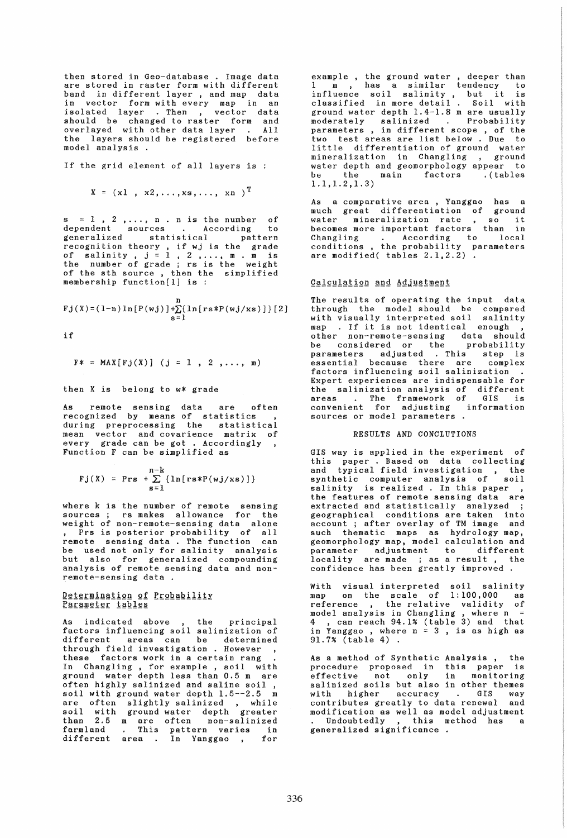then stored in Geo-database . Image data are stored in raster form with different band in different layer, and map data in an data and All in vector form with every map isolated layer . Then , vector should be changed to raster form overlayed with other data layer the layers should be registered before model analysis .

If the grid element of all layers is :

$$
X = (x1, x2, \ldots, xs, \ldots, xn)^T
$$

s = 1 , 2 ,..., n . n is the number of<br>dependent sources . According to<br>generalized statistical pattern recognition theory, if wj is the grade recognition theory, if wy is the grade<br>of salinity,  $j = 1, 2, ..., m$ . m is the number of grade j rs is the weight of the sth source , then the simplified membership function[l] is :

$$
Fj(X) = (1-n) \ln [P(wj)] + \sum_{s=1}^{n} \{ \ln [rs*P(wj(xs)] \} [2]
$$

if

$$
F* = MAX[Fj(X)]
$$
 (j = 1, 2, ..., m)

then X is belong to w\* grade

As remote sensing data are often recognized by means of statistics , during preprocessing the statistical mean vector and covarience matrix of every grade can be got . Accordingly Function F can be simplified as

$$
Fj(X) = Prs + \sum_{s=1}^{n-k} \{ln[rs*P(wj(xs)]\}
$$

where k is the number of remote sensing sources i rs makes allowance for the weight of non-remote-sensing data alone Prs is posterior probability of all remote sensing data . The function can be used not only for salinity analysis but also for generalized compounding analysis of remote sensing data and nonremote-sensing data .

## Determination of Probability Parameter tables

As indicated above , the principal factors influencing soil salinization of different areas can be determined through field investigation . However these factors work in a certain rang In Changling, for example, soil with<br>In Changling, for example, soil with<br>ground water depth less than 0.5 m are often highly salinized and saline soil , soil with ground water depth 1.5--2.5 m are often slightly salinized, while soil with ground water depth greater than 2.5 m are often non-salinized farmland . This pattern varies in different area . In Yanggao , for

example , the ground water , deeper than 1 m , has a similar tendency to influence soil salinity, but it is classified in more detail. Soil with ground water depth 1.4-1.8 m are usually moderately salinized . Probability parameters , in different scope , of the two test areas are list below. Due to little differentiation of ground water mineralization in Changling , ground water depth and geomorphology appear to<br>be the main factors (tables be the main factors .(tables 1.1,1.2,1.3)

As a comparative area , Yanggao has a much great differentiation of ground<br>water mineralization rate , so it becomes more important factors than in Changling . According to local conditions , the probability parameters are modified( tables 2.1,2.2).

### Calculation and Adjustment

The results of operating the input data through the model should be compared with visually interpreted soil salinity map . If it is not identical enough other non-remote-sensing data should<br>be considered or the probability be considered or the probability parameters adjusted . This step is essential because there are complex factors influencing soil salinization. Expert experiences are indispensable for the salinization analysis of different areas . The framework of GIS is convenient for adjusting information sources or model parameters .

## RESULTS AND CONCLUTIONS

GIS way is applied in the experiment of this paper. Based on data collecting and typical field investigation, the synthetic computer analysis of soil synthetic compact analysis of Swanding is realized. In this paper the features of remote sensing data are extracted and statistically analyzed <sup>j</sup> geographical conditions are taken into account i after overlay of TM image and such thematic maps as hydrology map, geomorphology map, model calculation and parameter adjustment to different locality are made ; as a result, the confidence has been greatly improved.

With visual interpreted soil salinity map on the scale of 1:100,000 as example on the beard of infectious as model analysis in Changling , where n 4 ,can reach 94.1% (table 3) and that in Yanggao, where  $n = 3$ , is as high as 91.7% (table 4) .

As a method of Synthetic Analysis, the procedure proposed in this paper is effective not only in monitoring salinized soils but also in other themes<br>with higher accuracy . GIS way with higher accuracy . GIS way contributes greatly to data renewal and modification as well as model adjustment Undoubtedly , this method has a generalized significance .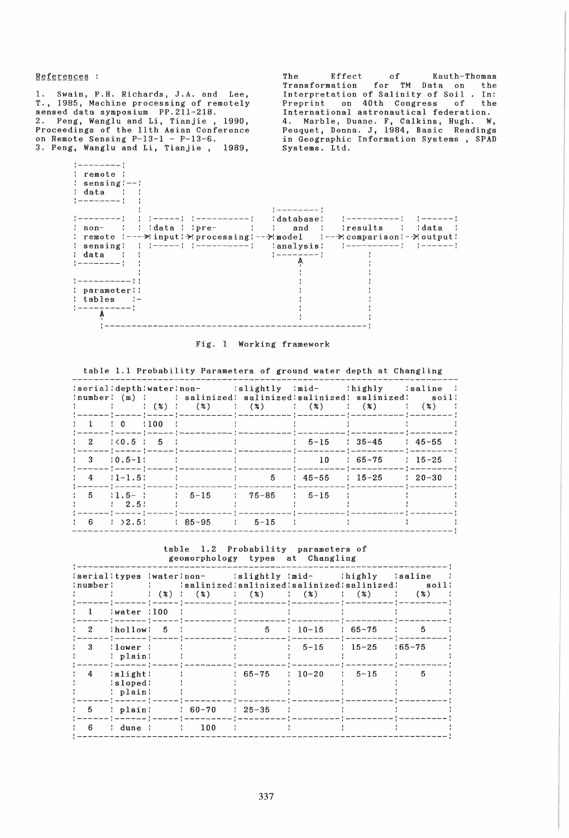References :

1. Swain, P.H. Richards, J.A. and Lee, T., 1985, Machine processing of remotely sensed data symposium PP.211-218. 2. Peng, Wanglu and Li, Tianjie , 1990, Proceedings of the 11th Asian Conference on Remote Sensing P-13-1 - P-13-6. 3. Peng, Wanglu and Li, Tianjie, 1989,

The Effect of Kauth-Thomas Transformation for TM Data on the Interpretation of Salinity of Soil . In: Preprint on 40th Congress of the International astronautical federation. 4. Marble, Duane. F, Calkins, Hugh. W, Peuquet, Donna. J, 1984, Basic Readings in Geographic Information Systems, SPAD Systems. Ltd.



# Fig. 1 Working framework

|  |                                     |                                                                           |                                                                                                                                         |  | table i.i flobabliity farameters of ground water depth at changing                                                                                                                                                                                                                                         |  |
|--|-------------------------------------|---------------------------------------------------------------------------|-----------------------------------------------------------------------------------------------------------------------------------------|--|------------------------------------------------------------------------------------------------------------------------------------------------------------------------------------------------------------------------------------------------------------------------------------------------------------|--|
|  |                                     |                                                                           |                                                                                                                                         |  | : serial:depth:water:non- : slightly :mid- :highly :saline :<br>: number: (m) : : salinized: salinized: salinized: salinized: soil:<br>$\langle 2 \rangle$ ( $\langle 3 \rangle$ ) ( $\langle 2 \rangle$ ) ( $\langle 3 \rangle$ ) ( $\langle 2 \rangle$ ) ( $\langle 3 \rangle$ ) ( $\langle 3 \rangle$ ) |  |
|  |                                     |                                                                           | $\begin{array}{cccccccc} 1 & 1 & 0 & 100 & 1 & \end{array}$                                                                             |  |                                                                                                                                                                                                                                                                                                            |  |
|  |                                     | $\frac{1}{2}$ $\frac{2}{1}$ $\frac{1}{0.5}$ $\frac{1}{1}$ 5 $\frac{1}{1}$ |                                                                                                                                         |  | $5-15$ $35-45$ $45-55$ ;                                                                                                                                                                                                                                                                                   |  |
|  | $\frac{1}{2}$ 3 $\frac{10.5-11}{2}$ |                                                                           | the control of the control of the control of the con-                                                                                   |  | $10 \t{55-75} \t{15-25}$                                                                                                                                                                                                                                                                                   |  |
|  | $\frac{1}{2}$ 4 $\frac{1}{2}$ 1-1.5 |                                                                           | the control of the control of the control of the control of the control of<br>عبدهم والمستشفين والمستقط والمستمسط والمستقصية والمستقصية |  | $5 \t 45-55 \t 15-25 \t 20-30 \t 1$                                                                                                                                                                                                                                                                        |  |
|  | 12.51                               |                                                                           | $1 5 11.5-1 1 5-15 75-85 1 5-15$<br>( www.www.com ) www.www.com ) www.www.com ) www.www.www.com - 2 www.www.www.www.                    |  |                                                                                                                                                                                                                                                                                                            |  |
|  |                                     |                                                                           | $\frac{1}{1}$ 6 $\frac{1}{2}$ 2.5 $\frac{1}{1}$ 85-95 $\frac{1}{2}$ 5-15 $\frac{1}{2}$                                                  |  |                                                                                                                                                                                                                                                                                                            |  |

table 1.1 Probability Parameters of ground water depth at Changling

table 1.2 Probability parameters of

|              |                                   |               | serialitypes waterinon- islightly imid- ihighly isaline                                                       |       |                  |                |            |
|--------------|-----------------------------------|---------------|---------------------------------------------------------------------------------------------------------------|-------|------------------|----------------|------------|
| :number;     |                                   |               | : {\disalinized:salinized:salinized:salinized: soil;<br>$(3)$ $(2)$ $(3)$ $(4)$ $(5)$ $(6)$ $(7)$ $(8)$ $(8)$ |       |                  |                | (%)        |
| $\mathbf{1}$ | water :100;                       | $\mathcal{L}$ |                                                                                                               |       |                  |                |            |
| 2            | thollow 5                         |               |                                                                                                               | 5 -   | $10-15$ $165-75$ |                | -5         |
| -3-          | $: \lceilower \rceil$<br>: plain: |               |                                                                                                               |       |                  | $5-15$ $15-25$ | $165 - 75$ |
| $4 \quad$    | 'slight'<br>:sloped:<br>: plain:  |               |                                                                                                               | 65-75 | $10-20$          | $1, 5-15$      | 5          |
| 5            | : plain:                          |               | $\frac{1}{1}$ 60-70 $\frac{1}{25-35}$                                                                         |       |                  |                |            |
|              | dune                              |               | $\sim$ $\frac{100}{100}$                                                                                      |       |                  |                |            |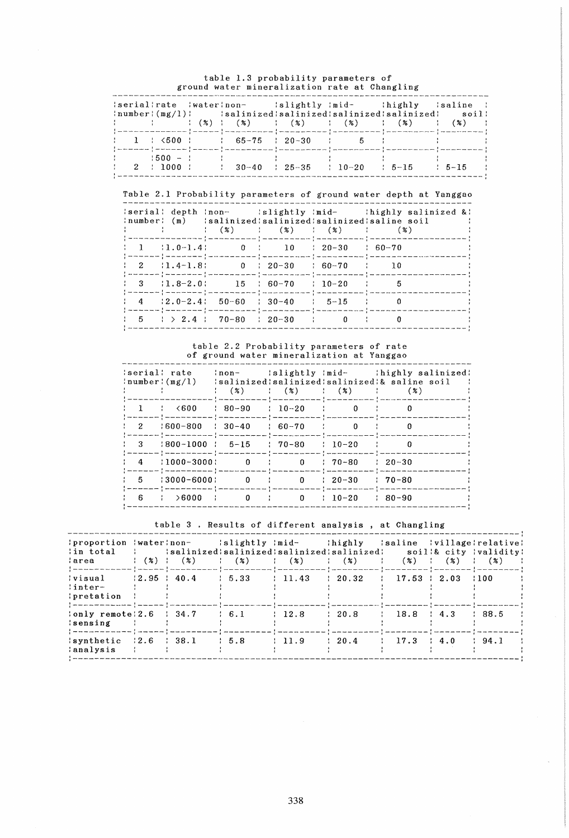|  |                                    |                                         |  | : serial: rate : water: non- : slightly : mid- : highly : saline :                                                                                                                                                                                                                                                                                                                                                                                                                                                                                                                                                                                                       |  |
|--|------------------------------------|-----------------------------------------|--|--------------------------------------------------------------------------------------------------------------------------------------------------------------------------------------------------------------------------------------------------------------------------------------------------------------------------------------------------------------------------------------------------------------------------------------------------------------------------------------------------------------------------------------------------------------------------------------------------------------------------------------------------------------------------|--|
|  |                                    |                                         |  | $\lceil \texttt{number} \rceil (\texttt{mg}/1) \rceil$ $\lceil \texttt{salinized} \rceil$ $\lceil \texttt{salinized} \rceil$ $\lceil \texttt{sgd} \rceil$ $\lceil \texttt{sgd} \rceil$ $\lceil \texttt{sgd} \rceil$ $\lceil \texttt{sgd} \rceil$ $\lceil \texttt{sgd} \rceil$<br>$\hspace{1.6cm}   \hspace{1.6cm}   \hspace{1.6cm}   \hspace{1.6cm}   \hspace{1.6cm}   \hspace{1.6cm}   \hspace{1.6cm}   \hspace{1.6cm}   \hspace{1.6cm}   \hspace{1.6cm}   \hspace{1.6cm}   \hspace{1.6cm}   \hspace{1.6cm}   \hspace{1.6cm}   \hspace{1.6cm}   \hspace{1.6cm}   \hspace{1.6cm}   \hspace{1.6cm}   \hspace{1.6cm}   \hspace{1.6cm}   \hspace{1.6cm}   \hspace{1.6cm}  $ |  |
|  |                                    | $1 \t3 \t4 \t500$ : 65-75 : 20-30 : 5 : |  | {==================={-====={->====={--====={-===={--======{--==={-}}}}}}<br>(«ненини» (непишне (непишн (нападнатата) (нападнатата) дипломатата (нападнатата) (нападната                                                                                                                                                                                                                                                                                                                                                                                                                                                                                                  |  |
|  | $\frac{1}{2}$ $\frac{1500 - 1}{2}$ | しゅうしょう しゅうしょう おおや しゅうしょう ほうしょう          |  | $\frac{1}{2}$ 2 $\frac{1000}{1000}$ $\frac{1}{20-40}$ $\frac{25-35}{25-35}$ $\frac{10-20}{10-20}$ $\frac{5-15}{5-15}$ $\frac{5-15}{10-15}$                                                                                                                                                                                                                                                                                                                                                                                                                                                                                                                               |  |

# table 1.3 probability parameters of ground water mineralization rate at Changling

Table 2.1 Probability parameters of ground water depth at Yanggao

|  |                                                                                                                                                                                                                                                                                                                                                                                                                                                                                                                                 |  | 's actually salinized & later this is all the set of the control of the later than the later than the later than the later than the later than the later than the later than the later than the later than the later than the<br>: number: (m) :salinized:salinized:salinized:saline soil : |
|--|---------------------------------------------------------------------------------------------------------------------------------------------------------------------------------------------------------------------------------------------------------------------------------------------------------------------------------------------------------------------------------------------------------------------------------------------------------------------------------------------------------------------------------|--|---------------------------------------------------------------------------------------------------------------------------------------------------------------------------------------------------------------------------------------------------------------------------------------------|
|  | $\hspace{1.6cm}   \hspace{1.6cm} \hspace{1.6cm} ( \hspace{1.6cm} 2 \hspace{1.6cm} ) \hspace{1.2cm}   \hspace{1.6cm} ( \hspace{1.6cm} 3 \hspace{1.6cm} ) \hspace{1.2cm}   \hspace{1.6cm} ( \hspace{1.6cm} 2 \hspace{1.6cm} ) \hspace{1.2cm}   \hspace{1.6cm} ( \hspace{1.6cm} 3 \hspace{1.6cm} ) \hspace{1.2cm}   \hspace{1.6cm} ( \hspace{1.6cm} 3 \hspace{1.6cm} ) \hspace{1.$<br>$\begin{array}{cccccccc} \cdot & 1 & \cdot & 1.0-1.4 \end{array}$ 0 $\begin{array}{cccccccc} \cdot & 10 & \cdot & 20-30 \end{array}$ 60 - 70 |  |                                                                                                                                                                                                                                                                                             |
|  | $\frac{1}{2}$ $\frac{11.4-1.8}{0}$ $\frac{1}{20-30}$ $\frac{60-70}{10}$ $\frac{1}{10}$                                                                                                                                                                                                                                                                                                                                                                                                                                          |  | f proposant factor non factor non non factor non non factor non non factor in non non non non non                                                                                                                                                                                           |
|  | $\frac{1}{2}$ 3 $\frac{11.8-2.0!}{2}$ 15 $\frac{160-70}{2}$ 10-20 $\frac{1}{2}$ 5<br>(members) (members) indicated in the condition of the condition of the condition of indicated                                                                                                                                                                                                                                                                                                                                              |  |                                                                                                                                                                                                                                                                                             |
|  | $\frac{1}{2}$ 4 $\frac{12.0-2.4}{2}$ 50-60 $\frac{1}{2}$ 30-40 $\frac{1}{2}$ 5-15 $\frac{1}{2}$ 0                                                                                                                                                                                                                                                                                                                                                                                                                               |  | : sesende : description : de communication : de communication ; de communication : de communication                                                                                                                                                                                         |
|  | $\frac{1}{2}$ 5 $\frac{1}{2}$ 2.4 $\frac{1}{20}$ 70-80 $\frac{1}{20}$ 20-30 $\frac{1}{20}$ 0 $\frac{1}{20}$ 0                                                                                                                                                                                                                                                                                                                                                                                                                   |  |                                                                                                                                                                                                                                                                                             |

# table 2.2 Probability parameters of rate of ground water mineralization at Yanggao

|                           | :serial: rate<br>: number: (mg/1)     |                                                               |                     |                        | :non- :slightly :mid- :highly salinized:<br>salinized'salinized'salinized'& saline soil |
|---------------------------|---------------------------------------|---------------------------------------------------------------|---------------------|------------------------|-----------------------------------------------------------------------------------------|
|                           |                                       | $(2)$ $(2)$ $(3)$ $(4)$ $(5)$ $(6)$                           |                     |                        | (3)                                                                                     |
|                           | $1 \quad 1 \quad 1 \quad 600$         | $: 80 - 90 : 10 - 20$                                         |                     | $\sim$ $\sim$ $\sim$ 0 |                                                                                         |
| $\frac{1}{2}$             | $1600 - 800$                          | $\frac{1}{2}$ 30-40 $\frac{1}{2}$ 60-70                       |                     | $\sim$ $\sim$ $\sim$ 0 | n                                                                                       |
| $\mathbf{1}$ $\mathbf{3}$ | $1800-1000$ ; 5-15 : 70-80 ; 10-20    |                                                               |                     |                        | $\sim$ 1 $\sim$ 0                                                                       |
|                           | $\frac{1}{2}$ 4 $\frac{1000-3000}{1}$ | $\begin{array}{cccccccc}\n0 & \cdot & \cdot & 0\n\end{array}$ |                     | : 70-80 : 20-30        |                                                                                         |
| 1.5                       | $\frac{13000 - 6000!}{13000}$         |                                                               | $0 \qquad \qquad 0$ | $\pm 20-30$            | $170 - 80$                                                                              |
| $\pm$ 6                   | $\rightarrow 6000$ ; 0 ;              |                                                               | 0                   | $10 - 20$              | $: 80 - 90$                                                                             |

table 3 . Results of different analysis , at Changling

| :proportion :water:non- :slightly :mid- :highly :saline :village:relative:<br>$\{in\$ total $\{in\}$<br>$3 \text{area}$ $(2)   (3)$                                                                                                  | :salinized:salinized:salinized:salinized: soil:& city :validity: | $(2)$ $(3)$ $(4)$ $(5)$ $(6)$ $(7)$ $(8)$ $(8)$ $(1)(3)$ $(1)(3)$ |                   |                                     |  |      |
|--------------------------------------------------------------------------------------------------------------------------------------------------------------------------------------------------------------------------------------|------------------------------------------------------------------|-------------------------------------------------------------------|-------------------|-------------------------------------|--|------|
| $\{visual$ $\{2.95 \pm 40.4 \pm 5.33 \pm 11.43 \pm 20.32 \pm 17.53 \pm 2.03 \pm 100\}$<br>$ inter-$<br><i>i</i> pretation<br>(menomenona) salah (menomenon) salah bah (menomenon) salah bah (salah bah (menomenon) (menomen) (menome |                                                                  |                                                                   |                   |                                     |  |      |
| : only remote: $2.6$ : $34.7$ : $6.1$<br>'sensing                                                                                                                                                                                    |                                                                  |                                                                   | $\therefore$ 12.8 | $\frac{1}{20.8}$ $\frac{18.8}{4.3}$ |  | 88.5 |
| $\verb synthetic  2.6  38.1$<br>analysis                                                                                                                                                                                             |                                                                  | $\ddagger$ 5.8                                                    | $\pm 11.9$        | $\pm 20.4 \pm 17.3 \pm 4.0$         |  | 94.1 |